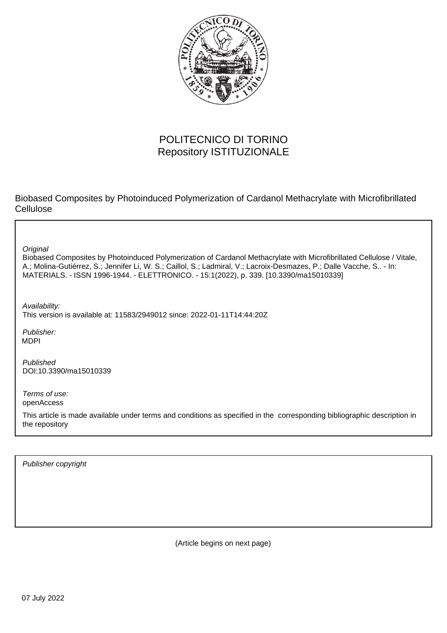

## POLITECNICO DI TORINO Repository ISTITUZIONALE

Biobased Composites by Photoinduced Polymerization of Cardanol Methacrylate with Microfibrillated Cellulose

**Original** 

Biobased Composites by Photoinduced Polymerization of Cardanol Methacrylate with Microfibrillated Cellulose / Vitale, A.; Molina-Gutiérrez, S.; Jennifer Li, W. S.; Caillol, S.; Ladmiral, V.; Lacroix-Desmazes, P.; Dalle Vacche, S.. - In: MATERIALS. - ISSN 1996-1944. - ELETTRONICO. - 15:1(2022), p. 339. [10.3390/ma15010339]

Availability: This version is available at: 11583/2949012 since: 2022-01-11T14:44:20Z

Publisher: MDPI

Published DOI:10.3390/ma15010339

Terms of use: openAccess

This article is made available under terms and conditions as specified in the corresponding bibliographic description in the repository

Publisher copyright

(Article begins on next page)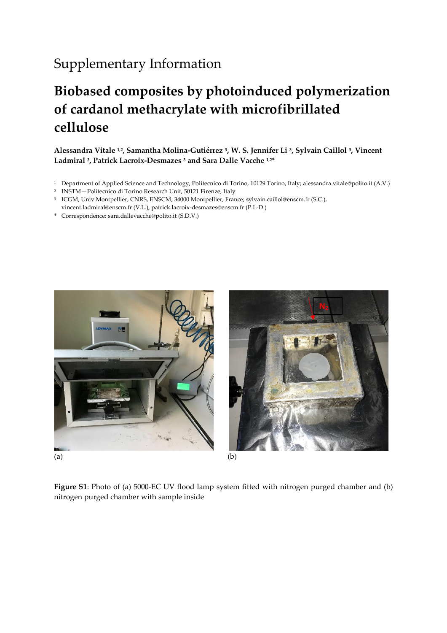## Supplementary Information

## **Biobased composites by photoinduced polymerization of cardanol methacrylate with microfibrillated cellulose**

**Alessandra Vitale 1,2, Samantha Molina-Gutiérrez <sup>3</sup> , W. S. Jennifer Li <sup>3</sup> , Sylvain Caillol <sup>3</sup> , Vincent Ladmiral <sup>3</sup> , Patrick Lacroix-Desmazes <sup>3</sup> and Sara Dalle Vacche 1,2\***

- <sup>1</sup> Department of Applied Science and Technology, Politecnico di Torino, 10129 Torino, Italy; alessandra.vitale@polito.it (A.V.)
- <sup>2</sup> INSTM—Politecnico di Torino Research Unit, 50121 Firenze, Italy
- <sup>3</sup> ICGM, Univ Montpellier, CNRS, ENSCM, 34000 Montpellier, France; sylvain.caillol@enscm.fr (S.C.), vincent.ladmiral@enscm.fr (V.L.), patrick.lacroix-desmazes@enscm.fr (P.L-D.)
- \* Correspondence: sara.dallevacche@polito.it (S.D.V.)





**Figure S1**: Photo of (a) 5000-EC UV flood lamp system fitted with nitrogen purged chamber and (b) nitrogen purged chamber with sample inside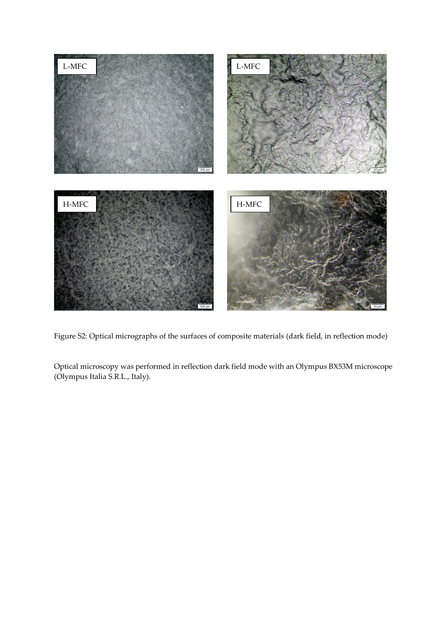

Figure S2: Optical micrographs of the surfaces of composite materials (dark field, in reflection mode)

Optical microscopy was performed in reflection dark field mode with an Olympus BX53M microscope (Olympus Italia S.R.L., Italy).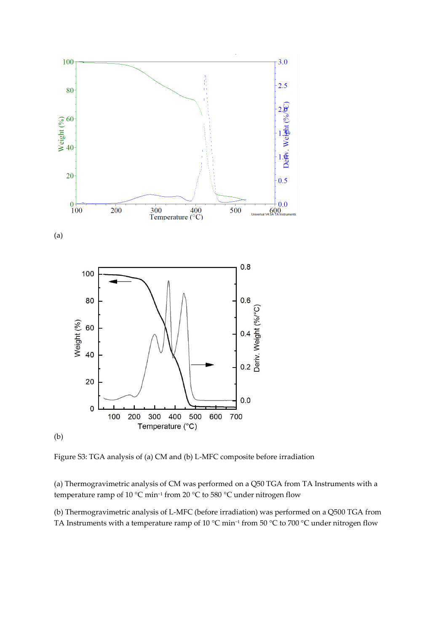

Figure S3: TGA analysis of (a) CM and (b) L-MFC composite before irradiation

(a) Thermogravimetric analysis of CM was performed on a Q50 TGA from TA Instruments with a temperature ramp of 10 °C min−<sup>1</sup> from 20 °C to 580 °C under nitrogen flow

(b) Thermogravimetric analysis of L-MFC (before irradiation) was performed on a Q500 TGA from TA Instruments with a temperature ramp of 10 °C min−<sup>1</sup> from 50 °C to 700 °C under nitrogen flow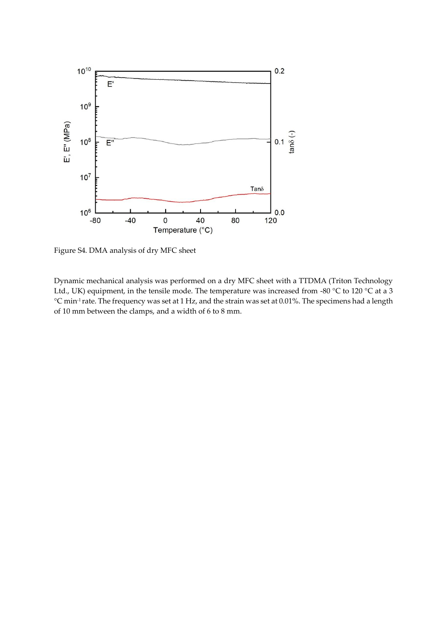

Figure S4. DMA analysis of dry MFC sheet

Dynamic mechanical analysis was performed on a dry MFC sheet with a TTDMA (Triton Technology Ltd., UK) equipment, in the tensile mode. The temperature was increased from -80 °C to 120 °C at a 3 °C min-1 rate. The frequency was set at 1 Hz, and the strain was set at 0.01%. The specimens had a length of 10 mm between the clamps, and a width of 6 to 8 mm.